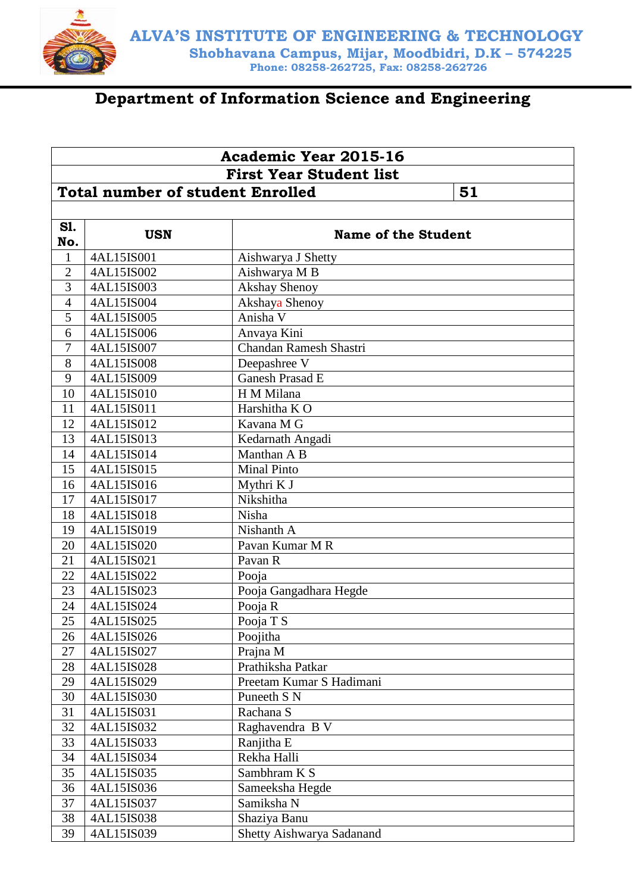

# **Department of Information Science and Engineering**

|                | <b>Academic Year 2015-16</b><br><b>First Year Student list</b> |                            |  |  |  |
|----------------|----------------------------------------------------------------|----------------------------|--|--|--|
|                |                                                                |                            |  |  |  |
|                | <b>Total number of student Enrolled</b><br>51                  |                            |  |  |  |
|                |                                                                |                            |  |  |  |
| <b>S1.</b>     |                                                                |                            |  |  |  |
| No.            | <b>USN</b>                                                     | <b>Name of the Student</b> |  |  |  |
| $\mathbf{1}$   | 4AL15IS001                                                     | Aishwarya J Shetty         |  |  |  |
| $\overline{2}$ | 4AL15IS002                                                     | Aishwarya M B              |  |  |  |
| $\overline{3}$ | 4AL15IS003                                                     | <b>Akshay Shenoy</b>       |  |  |  |
| $\overline{4}$ | 4AL15IS004                                                     | Akshaya Shenoy             |  |  |  |
| 5              | 4AL15IS005                                                     | Anisha V                   |  |  |  |
| 6              | 4AL15IS006                                                     | Anvaya Kini                |  |  |  |
| 7              | 4AL15IS007                                                     | Chandan Ramesh Shastri     |  |  |  |
| 8              | 4AL15IS008                                                     | Deepashree V               |  |  |  |
| 9              | 4AL15IS009                                                     | Ganesh Prasad E            |  |  |  |
| 10             | 4AL15IS010                                                     | H M Milana                 |  |  |  |
| 11             | 4AL15IS011                                                     | Harshitha KO               |  |  |  |
| 12             | 4AL15IS012                                                     | Kavana M G                 |  |  |  |
| 13             | 4AL15IS013                                                     | Kedarnath Angadi           |  |  |  |
| 14             | 4AL15IS014                                                     | Manthan A B                |  |  |  |
| 15             | 4AL15IS015                                                     | <b>Minal Pinto</b>         |  |  |  |
| 16             | 4AL15IS016                                                     | Mythri K J                 |  |  |  |
| 17             | 4AL15IS017                                                     | Nikshitha                  |  |  |  |
| 18             | 4AL15IS018                                                     | Nisha                      |  |  |  |
| 19             | 4AL15IS019                                                     | Nishanth A                 |  |  |  |
| 20             | 4AL15IS020                                                     | Pavan Kumar M R            |  |  |  |
| 21             | 4AL15IS021                                                     | Pavan R                    |  |  |  |
| 22             | 4AL15IS022                                                     | Pooja                      |  |  |  |
| 23             | 4AL15IS023                                                     | Pooja Gangadhara Hegde     |  |  |  |
| 24             | 4AL15IS024                                                     | Pooja R                    |  |  |  |
| 25             | 4AL15IS025                                                     | Pooja T S                  |  |  |  |
| 26             | 4AL15IS026                                                     | Poojitha                   |  |  |  |
| 27             | 4AL15IS027                                                     | Prajna M                   |  |  |  |
| 28             | 4AL15IS028                                                     | Prathiksha Patkar          |  |  |  |
| 29             | 4AL15IS029                                                     | Preetam Kumar S Hadimani   |  |  |  |
| 30             | 4AL15IS030                                                     | Puneeth S N                |  |  |  |
| 31             | 4AL15IS031                                                     | Rachana S                  |  |  |  |
| 32             | 4AL15IS032                                                     | Raghavendra B V            |  |  |  |
| 33             | 4AL15IS033                                                     | Ranjitha E                 |  |  |  |
| 34             | 4AL15IS034                                                     | Rekha Halli                |  |  |  |
| 35             | 4AL15IS035                                                     | Sambhram K S               |  |  |  |
| 36             | 4AL15IS036                                                     | Sameeksha Hegde            |  |  |  |
| 37             | 4AL15IS037                                                     | Samiksha N                 |  |  |  |
| 38             | 4AL15IS038                                                     | Shaziya Banu               |  |  |  |
| 39             | 4AL15IS039                                                     | Shetty Aishwarya Sadanand  |  |  |  |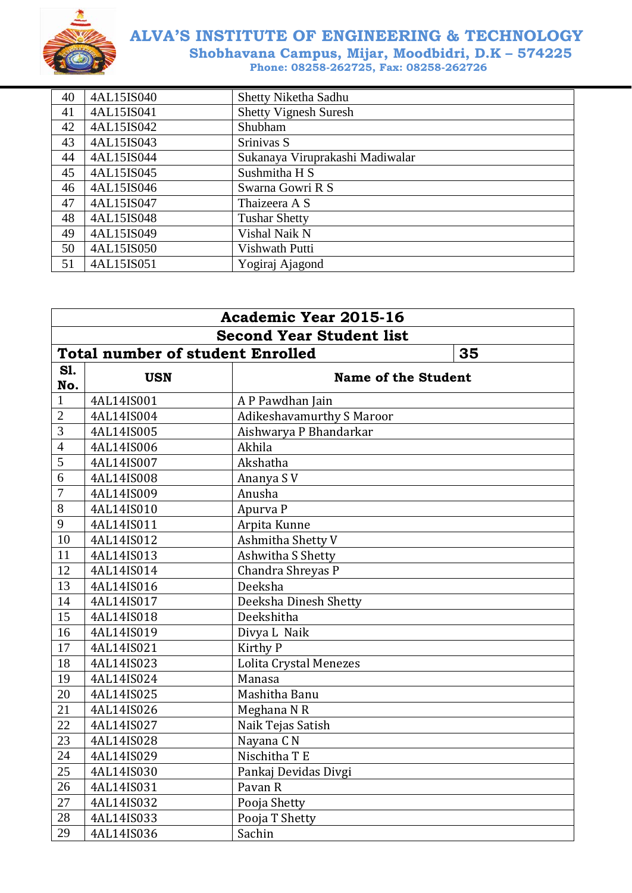

| 40 | 4AL15IS040 | Shetty Niketha Sadhu            |
|----|------------|---------------------------------|
| 41 | 4AL15IS041 | <b>Shetty Vignesh Suresh</b>    |
| 42 | 4AL15IS042 | Shubham                         |
| 43 | 4AL15IS043 | Srinivas S                      |
| 44 | 4AL15IS044 | Sukanaya Viruprakashi Madiwalar |
| 45 | 4AL15IS045 | Sushmitha H S                   |
| 46 | 4AL15IS046 | Swarna Gowri R S                |
| 47 | 4AL15IS047 | Thaizeera A S                   |
| 48 | 4AL15IS048 | <b>Tushar Shetty</b>            |
| 49 | 4AL15IS049 | Vishal Naik N                   |
| 50 | 4AL15IS050 | Vishwath Putti                  |
| 51 | 4AL15IS051 | Yogiraj Ajagond                 |

| <b>Academic Year 2015-16</b> |                                               |                                  |  |  |
|------------------------------|-----------------------------------------------|----------------------------------|--|--|
|                              | <b>Second Year Student list</b>               |                                  |  |  |
|                              | <b>Total number of student Enrolled</b><br>35 |                                  |  |  |
| S1.                          | <b>USN</b>                                    | <b>Name of the Student</b>       |  |  |
| No.                          |                                               |                                  |  |  |
| $\mathbf{1}$                 | 4AL14IS001                                    | A P Pawdhan Jain                 |  |  |
| $\overline{2}$               | 4AL14IS004                                    | <b>Adikeshavamurthy S Maroor</b> |  |  |
| 3                            | 4AL14IS005                                    | Aishwarya P Bhandarkar           |  |  |
| $\overline{4}$               | 4AL14IS006                                    | Akhila                           |  |  |
| 5                            | 4AL14IS007                                    | Akshatha                         |  |  |
| 6                            | 4AL14IS008                                    | Ananya SV                        |  |  |
| 7                            | 4AL14IS009                                    | Anusha                           |  |  |
| 8                            | 4AL14IS010                                    | Apurva P                         |  |  |
| 9                            | 4AL14IS011                                    | Arpita Kunne                     |  |  |
| 10                           | 4AL14IS012                                    | Ashmitha Shetty V                |  |  |
| 11                           | 4AL14IS013                                    | Ashwitha S Shetty                |  |  |
| 12                           | 4AL14IS014                                    | Chandra Shreyas P                |  |  |
| 13                           | 4AL14IS016                                    | Deeksha                          |  |  |
| 14                           | 4AL14IS017                                    | Deeksha Dinesh Shetty            |  |  |
| 15                           | 4AL14IS018                                    | Deekshitha                       |  |  |
| 16                           | 4AL14IS019                                    | Divya L Naik                     |  |  |
| 17                           | 4AL14IS021                                    | Kirthy P                         |  |  |
| 18                           | 4AL14IS023                                    | Lolita Crystal Menezes           |  |  |
| 19                           | 4AL14IS024                                    | Manasa                           |  |  |
| 20                           | 4AL14IS025                                    | Mashitha Banu                    |  |  |
| 21                           | 4AL14IS026                                    | Meghana N R                      |  |  |
| 22                           | 4AL14IS027                                    | Naik Tejas Satish                |  |  |
| 23                           | 4AL14IS028                                    | Nayana C N                       |  |  |
| 24                           | 4AL14IS029                                    | Nischitha T E                    |  |  |
| 25                           | 4AL14IS030                                    | Pankaj Devidas Divgi             |  |  |
| 26                           | 4AL14IS031                                    | Pavan R                          |  |  |
| 27                           | 4AL14IS032                                    | Pooja Shetty                     |  |  |
| 28                           | 4AL14IS033                                    | Pooja T Shetty                   |  |  |
| 29                           | 4AL14IS036                                    | Sachin                           |  |  |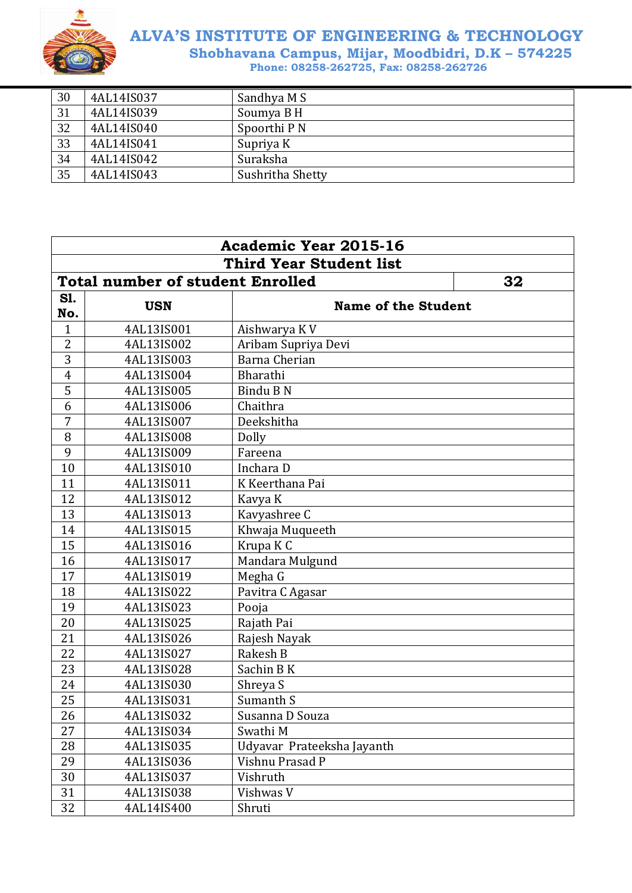

| 30 | 4AL14IS037 | Sandhya M S      |
|----|------------|------------------|
| 31 | 4AL14IS039 | Soumya B H       |
| 32 | 4AL14IS040 | Spoorthi P N     |
| 33 | 4AL14IS041 | Supriya K        |
| 34 | 4AL14IS042 | Suraksha         |
| 35 | 4AL14IS043 | Sushritha Shetty |

| <b>Academic Year 2015-16</b> |                                               |                            |  |  |
|------------------------------|-----------------------------------------------|----------------------------|--|--|
|                              | <b>Third Year Student list</b>                |                            |  |  |
|                              | <b>Total number of student Enrolled</b><br>32 |                            |  |  |
| S1.                          | <b>USN</b>                                    | <b>Name of the Student</b> |  |  |
| No.                          |                                               |                            |  |  |
| $\overline{1}$               | 4AL13IS001                                    | Aishwarya KV               |  |  |
| 2                            | 4AL13IS002                                    | Aribam Supriya Devi        |  |  |
| 3                            | 4AL13IS003                                    | Barna Cherian              |  |  |
| $\overline{4}$               | 4AL13IS004                                    | Bharathi                   |  |  |
| 5                            | 4AL13IS005                                    | Bindu B N                  |  |  |
| 6                            | 4AL13IS006                                    | Chaithra                   |  |  |
| 7                            | 4AL13IS007                                    | Deekshitha                 |  |  |
| 8                            | 4AL13IS008                                    | Dolly                      |  |  |
| 9                            | 4AL13IS009                                    | Fareena                    |  |  |
| 10                           | 4AL13IS010                                    | Inchara D                  |  |  |
| 11                           | 4AL13IS011                                    | K Keerthana Pai            |  |  |
| 12                           | 4AL13IS012                                    | Kavya K                    |  |  |
| 13                           | 4AL13IS013                                    | Kavyashree C               |  |  |
| 14                           | 4AL13IS015                                    | Khwaja Muqueeth            |  |  |
| 15                           | 4AL13IS016                                    | Krupa KC                   |  |  |
| 16                           | 4AL13IS017                                    | Mandara Mulgund            |  |  |
| 17                           | 4AL13IS019                                    | Megha G                    |  |  |
| 18                           | 4AL13IS022                                    | Pavitra C Agasar           |  |  |
| 19                           | 4AL13IS023                                    | Pooja                      |  |  |
| 20                           | 4AL13IS025                                    | Rajath Pai                 |  |  |
| 21                           | 4AL13IS026                                    | Rajesh Nayak               |  |  |
| 22                           | 4AL13IS027                                    | Rakesh B                   |  |  |
| 23                           | 4AL13IS028                                    | Sachin BK                  |  |  |
| 24                           | 4AL13IS030                                    | Shreya S                   |  |  |
| 25                           | 4AL13IS031                                    | Sumanth S                  |  |  |
| 26                           | 4AL13IS032                                    | Susanna D Souza            |  |  |
| 27                           | 4AL13IS034                                    | Swathi M                   |  |  |
| 28                           | 4AL13IS035                                    | Udyavar Prateeksha Jayanth |  |  |
| 29                           | 4AL13IS036                                    | Vishnu Prasad P            |  |  |
| 30                           | 4AL13IS037                                    | Vishruth                   |  |  |
| 31                           | 4AL13IS038                                    | Vishwas V                  |  |  |
| 32                           | 4AL14IS400                                    | Shruti                     |  |  |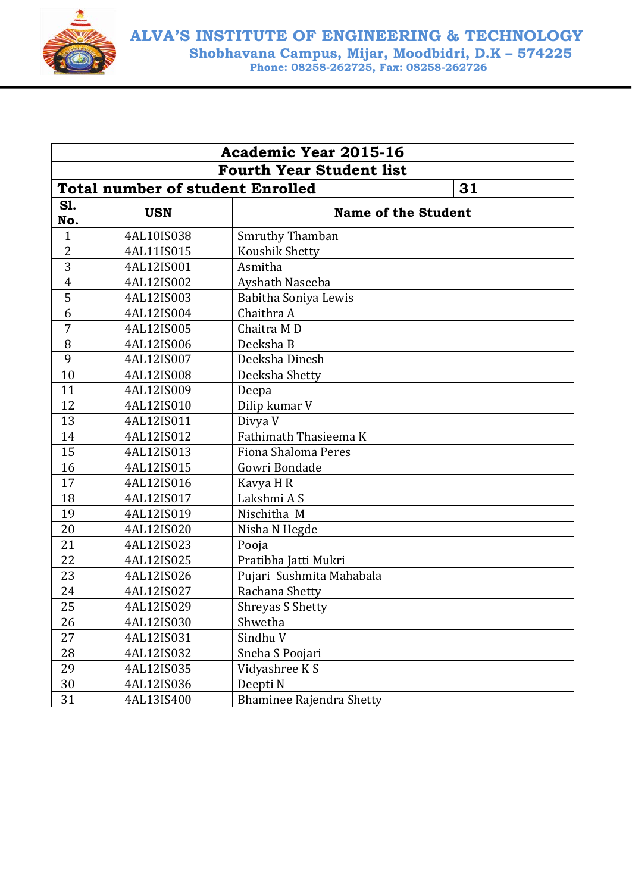

|                   | <b>Academic Year 2015-16</b>                  |                                 |  |  |
|-------------------|-----------------------------------------------|---------------------------------|--|--|
|                   | <b>Fourth Year Student list</b>               |                                 |  |  |
|                   | <b>Total number of student Enrolled</b><br>31 |                                 |  |  |
| <b>S1.</b><br>No. | <b>USN</b>                                    | <b>Name of the Student</b>      |  |  |
| $\mathbf{1}$      | 4AL10IS038                                    | Smruthy Thamban                 |  |  |
| $\overline{2}$    | 4AL11IS015                                    | Koushik Shetty                  |  |  |
| 3                 | 4AL12IS001                                    | Asmitha                         |  |  |
| $\overline{4}$    | 4AL12IS002                                    | Ayshath Naseeba                 |  |  |
| 5                 | 4AL12IS003                                    | Babitha Soniya Lewis            |  |  |
| 6                 | 4AL12IS004                                    | Chaithra A                      |  |  |
| 7                 | 4AL12IS005                                    | Chaitra MD                      |  |  |
| 8                 | 4AL12IS006                                    | Deeksha B                       |  |  |
| 9                 | 4AL12IS007                                    | Deeksha Dinesh                  |  |  |
| 10                | 4AL12IS008                                    | Deeksha Shetty                  |  |  |
| 11                | 4AL12IS009                                    | Deepa                           |  |  |
| 12                | 4AL12IS010                                    | Dilip kumar V                   |  |  |
| 13                | 4AL12IS011                                    | Divya V                         |  |  |
| 14                | 4AL12IS012                                    | Fathimath Thasieema K           |  |  |
| 15                | 4AL12IS013                                    | Fiona Shaloma Peres             |  |  |
| 16                | 4AL12IS015                                    | Gowri Bondade                   |  |  |
| 17                | 4AL12IS016                                    | Kavya H R                       |  |  |
| 18                | 4AL12IS017                                    | Lakshmi A S                     |  |  |
| 19                | 4AL12IS019                                    | Nischitha M                     |  |  |
| 20                | 4AL12IS020                                    | Nisha N Hegde                   |  |  |
| 21                | 4AL12IS023                                    | Pooja                           |  |  |
| 22                | 4AL12IS025                                    | Pratibha Jatti Mukri            |  |  |
| 23                | 4AL12IS026                                    | Pujari Sushmita Mahabala        |  |  |
| 24                | 4AL12IS027                                    | Rachana Shetty                  |  |  |
| 25                | 4AL12IS029                                    | <b>Shreyas S Shetty</b>         |  |  |
| 26                | 4AL12IS030                                    | Shwetha                         |  |  |
| 27                | 4AL12IS031                                    | Sindhu V                        |  |  |
| 28                | 4AL12IS032                                    | Sneha S Poojari                 |  |  |
| 29                | 4AL12IS035                                    | Vidyashree K S                  |  |  |
| 30                | 4AL12IS036                                    | Deepti N                        |  |  |
| 31                | 4AL13IS400                                    | <b>Bhaminee Rajendra Shetty</b> |  |  |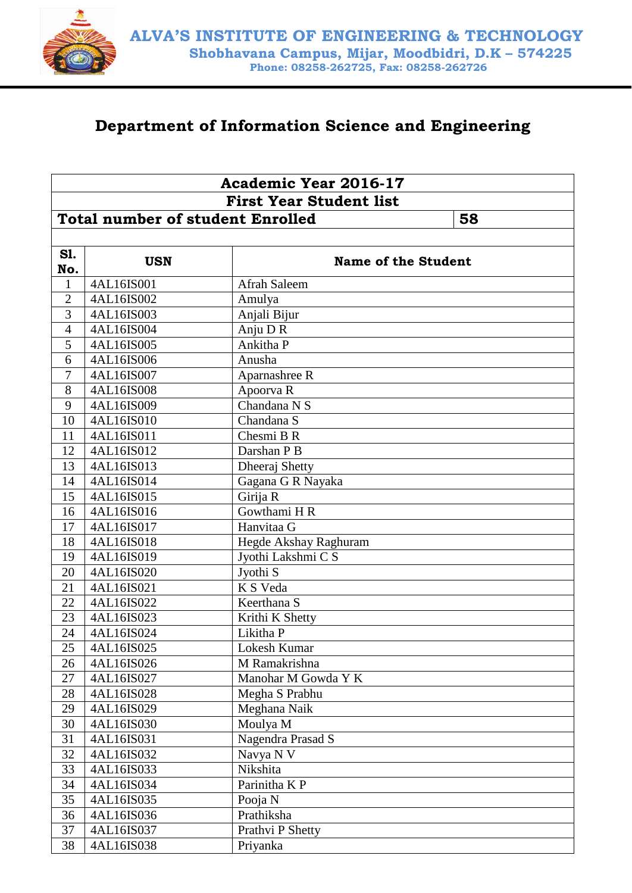

#### **Department of Information Science and Engineering**

|                | <b>Academic Year 2016-17</b>                  |                            |  |  |  |
|----------------|-----------------------------------------------|----------------------------|--|--|--|
|                | <b>First Year Student list</b>                |                            |  |  |  |
|                | <b>Total number of student Enrolled</b><br>58 |                            |  |  |  |
|                |                                               |                            |  |  |  |
| S1.            |                                               |                            |  |  |  |
| No.            | <b>USN</b>                                    | <b>Name of the Student</b> |  |  |  |
| $\mathbf{1}$   | 4AL16IS001                                    | Afrah Saleem               |  |  |  |
| $\overline{2}$ | 4AL16IS002                                    | Amulya                     |  |  |  |
| 3              | 4AL16IS003                                    | Anjali Bijur               |  |  |  |
| $\overline{4}$ | 4AL16IS004                                    | Anju D R                   |  |  |  |
| 5              | 4AL16IS005                                    | Ankitha P                  |  |  |  |
| 6              | 4AL16IS006                                    | Anusha                     |  |  |  |
| $\overline{7}$ | 4AL16IS007                                    | Aparnashree R              |  |  |  |
| 8              | 4AL16IS008                                    | Apoorva R                  |  |  |  |
| 9              | 4AL16IS009                                    | Chandana N S               |  |  |  |
| 10             | 4AL16IS010                                    | Chandana S                 |  |  |  |
| 11             | 4AL16IS011                                    | Chesmi B R                 |  |  |  |
| 12             | 4AL16IS012                                    | Darshan P B                |  |  |  |
| 13             | 4AL16IS013                                    | Dheeraj Shetty             |  |  |  |
| 14             | 4AL16IS014                                    | Gagana G R Nayaka          |  |  |  |
| 15             | 4AL16IS015                                    | Girija R                   |  |  |  |
| 16             | 4AL16IS016                                    | Gowthami $H R$             |  |  |  |
| 17             | 4AL16IS017                                    | Hanvitaa G                 |  |  |  |
| 18             | 4AL16IS018                                    | Hegde Akshay Raghuram      |  |  |  |
| 19             | 4AL16IS019                                    | Jyothi Lakshmi C S         |  |  |  |
| 20             | 4AL16IS020                                    | Jyothi S                   |  |  |  |
| 21             | 4AL16IS021                                    | K S Veda                   |  |  |  |
| 22             | 4AL16IS022                                    | Keerthana S                |  |  |  |
| 23             | 4AL16IS023                                    | Krithi K Shetty            |  |  |  |
| 24             | 4AL16IS024                                    | Likitha P                  |  |  |  |
| 25             | 4AL16IS025                                    | Lokesh Kumar               |  |  |  |
| 26             | 4AL16IS026                                    | M Ramakrishna              |  |  |  |
| 27             | 4AL16IS027                                    | Manohar M Gowda Y K        |  |  |  |
| 28             | 4AL16IS028                                    | Megha S Prabhu             |  |  |  |
| 29             | 4AL16IS029                                    | Meghana Naik               |  |  |  |
| 30             | 4AL16IS030                                    | Moulya M                   |  |  |  |
| 31             | 4AL16IS031                                    | Nagendra Prasad S          |  |  |  |
| 32             | 4AL16IS032                                    | Navya N V                  |  |  |  |
| 33             | 4AL16IS033                                    | Nikshita                   |  |  |  |
| 34             | 4AL16IS034                                    | Parinitha K P              |  |  |  |
| 35             | 4AL16IS035                                    | Pooja N                    |  |  |  |
| 36             | 4AL16IS036                                    | Prathiksha                 |  |  |  |
| 37             | 4AL16IS037                                    | Prathvi P Shetty           |  |  |  |
| 38             | 4AL16IS038                                    | Priyanka                   |  |  |  |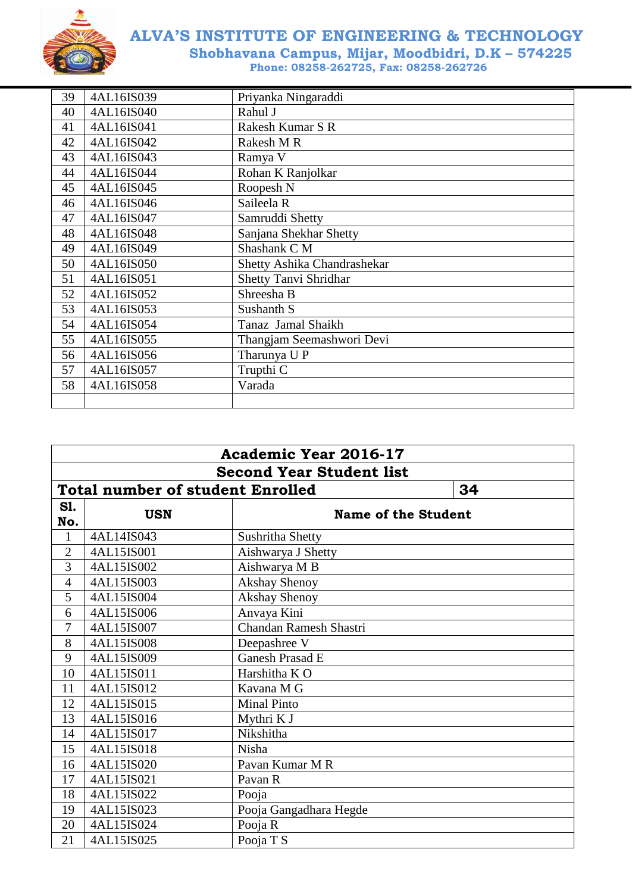

| 39 | 4AL16IS039 | Priyanka Ningaraddi          |
|----|------------|------------------------------|
| 40 | 4AL16IS040 | Rahul J                      |
| 41 | 4AL16IS041 | Rakesh Kumar S R             |
| 42 | 4AL16IS042 | Rakesh M R                   |
| 43 | 4AL16IS043 | Ramya V                      |
| 44 | 4AL16IS044 | Rohan K Ranjolkar            |
| 45 | 4AL16IS045 | Roopesh <sub>N</sub>         |
| 46 | 4AL16IS046 | Saileela R                   |
| 47 | 4AL16IS047 | Samruddi Shetty              |
| 48 | 4AL16IS048 | Sanjana Shekhar Shetty       |
| 49 | 4AL16IS049 | Shashank C M                 |
| 50 | 4AL16IS050 | Shetty Ashika Chandrashekar  |
| 51 | 4AL16IS051 | <b>Shetty Tanvi Shridhar</b> |
| 52 | 4AL16IS052 | Shreesha B                   |
| 53 | 4AL16IS053 | Sushanth S                   |
| 54 | 4AL16IS054 | Tanaz Jamal Shaikh           |
| 55 | 4AL16IS055 | Thangjam Seemashwori Devi    |
| 56 | 4AL16IS056 | Tharunya U P                 |
| 57 | 4AL16IS057 | Trupthi C                    |
| 58 | 4AL16IS058 | Varada                       |
|    |            |                              |

| <b>Academic Year 2016-17</b> |                                               |                        |                            |  |
|------------------------------|-----------------------------------------------|------------------------|----------------------------|--|
|                              | <b>Second Year Student list</b>               |                        |                            |  |
|                              | <b>Total number of student Enrolled</b><br>34 |                        |                            |  |
| S1.<br>No.                   | <b>USN</b>                                    |                        | <b>Name of the Student</b> |  |
| $\mathbf{1}$                 | 4AL14IS043                                    | Sushritha Shetty       |                            |  |
| $\overline{2}$               | 4AL15IS001                                    | Aishwarya J Shetty     |                            |  |
| 3                            | 4AL15IS002                                    | Aishwarya M B          |                            |  |
| $\overline{4}$               | 4AL15IS003                                    | <b>Akshay Shenoy</b>   |                            |  |
| $\overline{5}$               | 4AL15IS004                                    | <b>Akshay Shenoy</b>   |                            |  |
| 6                            | 4AL15IS006                                    | Anvaya Kini            |                            |  |
| 7                            | 4AL15IS007                                    | Chandan Ramesh Shastri |                            |  |
| 8                            | 4AL15IS008                                    | Deepashree V           |                            |  |
| 9                            | 4AL15IS009                                    | Ganesh Prasad E        |                            |  |
| 10                           | 4AL15IS011                                    | Harshitha K O          |                            |  |
| 11                           | 4AL15IS012                                    | Kavana M G             |                            |  |
| 12                           | 4AL15IS015                                    | <b>Minal Pinto</b>     |                            |  |
| 13                           | 4AL15IS016                                    | Mythri K J             |                            |  |
| 14                           | 4AL15IS017                                    | Nikshitha              |                            |  |
| 15                           | 4AL15IS018                                    | Nisha                  |                            |  |
| 16                           | 4AL15IS020                                    | Pavan Kumar M R        |                            |  |
| 17                           | 4AL15IS021                                    | Pavan R                |                            |  |
| 18                           | 4AL15IS022                                    | Pooja                  |                            |  |
| 19                           | 4AL15IS023                                    | Pooja Gangadhara Hegde |                            |  |
| 20                           | 4AL15IS024                                    | Pooja R                |                            |  |
| 21                           | 4AL15IS025                                    | Pooja T S              |                            |  |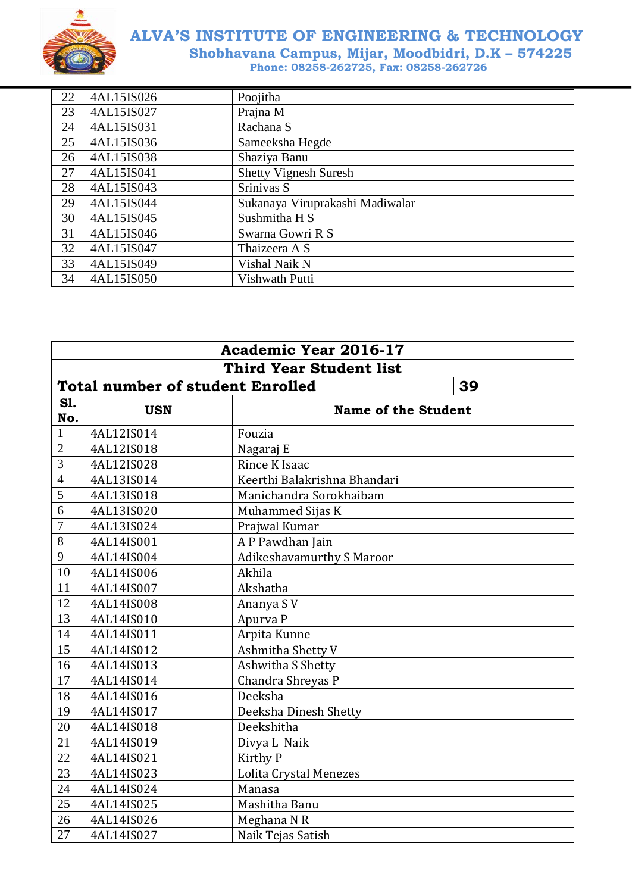

| 22 | 4AL15IS026 | Poojitha                        |
|----|------------|---------------------------------|
| 23 | 4AL15IS027 | Prajna M                        |
| 24 | 4AL15IS031 | Rachana S                       |
| 25 | 4AL15IS036 | Sameeksha Hegde                 |
| 26 | 4AL15IS038 | Shaziya Banu                    |
| 27 | 4AL15IS041 | <b>Shetty Vignesh Suresh</b>    |
| 28 | 4AL15IS043 | Srinivas S                      |
| 29 | 4AL15IS044 | Sukanaya Viruprakashi Madiwalar |
| 30 | 4AL15IS045 | Sushmitha H S                   |
| 31 | 4AL15IS046 | Swarna Gowri R S                |
| 32 | 4AL15IS047 | Thaizeera A S                   |
| 33 | 4AL15IS049 | Vishal Naik N                   |
| 34 | 4AL15IS050 | Vishwath Putti                  |

|                | <b>Academic Year 2016-17</b>                  |                                  |  |  |
|----------------|-----------------------------------------------|----------------------------------|--|--|
|                | <b>Third Year Student list</b>                |                                  |  |  |
|                | 39<br><b>Total number of student Enrolled</b> |                                  |  |  |
| S1.<br>No.     | <b>USN</b>                                    | <b>Name of the Student</b>       |  |  |
| $\mathbf{1}$   | 4AL12IS014                                    | Fouzia                           |  |  |
| $\overline{2}$ | 4AL12IS018                                    | Nagaraj E                        |  |  |
| 3              | 4AL12IS028                                    | Rince K Isaac                    |  |  |
| $\overline{4}$ | 4AL13IS014                                    | Keerthi Balakrishna Bhandari     |  |  |
| 5              | 4AL13IS018                                    | Manichandra Sorokhaibam          |  |  |
| 6              | 4AL13IS020                                    | Muhammed Sijas K                 |  |  |
| 7              | 4AL13IS024                                    | Prajwal Kumar                    |  |  |
| 8              | 4AL14IS001                                    | A P Pawdhan Jain                 |  |  |
| 9              | 4AL14IS004                                    | <b>Adikeshavamurthy S Maroor</b> |  |  |
| 10             | 4AL14IS006                                    | Akhila                           |  |  |
| 11             | 4AL14IS007                                    | Akshatha                         |  |  |
| 12             | 4AL14IS008                                    | Ananya SV                        |  |  |
| 13             | 4AL14IS010                                    | Apurva P                         |  |  |
| 14             | 4AL14IS011                                    | Arpita Kunne                     |  |  |
| 15             | 4AL14IS012                                    | Ashmitha Shetty V                |  |  |
| 16             | 4AL14IS013                                    | Ashwitha S Shetty                |  |  |
| 17             | 4AL14IS014                                    | Chandra Shreyas P                |  |  |
| 18             | 4AL14IS016                                    | Deeksha                          |  |  |
| 19             | 4AL14IS017                                    | Deeksha Dinesh Shetty            |  |  |
| 20             | 4AL14IS018                                    | Deekshitha                       |  |  |
| 21             | 4AL14IS019                                    | Divya L Naik                     |  |  |
| 22             | 4AL14IS021                                    | Kirthy P                         |  |  |
| 23             | 4AL14IS023                                    | Lolita Crystal Menezes           |  |  |
| 24             | 4AL14IS024                                    | Manasa                           |  |  |
| 25             | 4AL14IS025                                    | Mashitha Banu                    |  |  |
| 26             | 4AL14IS026                                    | Meghana NR                       |  |  |
| 27             | 4AL14IS027                                    | Naik Tejas Satish                |  |  |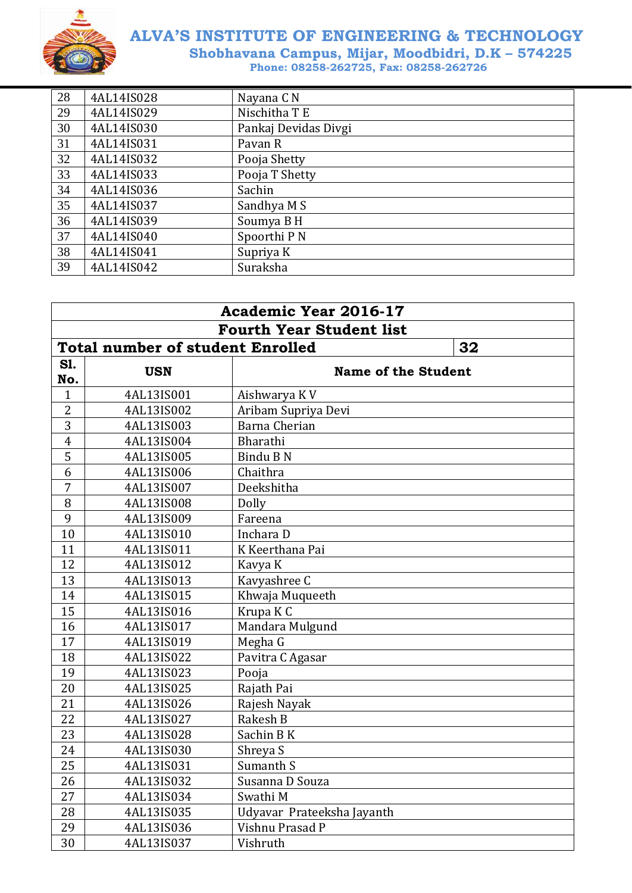

| 28 | 4AL14IS028 | Nayana C <sub>N</sub> |
|----|------------|-----------------------|
| 29 | 4AL14IS029 | Nischitha T E         |
| 30 | 4AL14IS030 | Pankaj Devidas Divgi  |
| 31 | 4AL14IS031 | Pavan R               |
| 32 | 4AL14IS032 | Pooja Shetty          |
| 33 | 4AL14IS033 | Pooja T Shetty        |
| 34 | 4AL14IS036 | Sachin                |
| 35 | 4AL14IS037 | Sandhya M S           |
| 36 | 4AL14IS039 | Soumya B H            |
| 37 | 4AL14IS040 | Spoorthi P N          |
| 38 | 4AL14IS041 | Supriya K             |
| 39 | 4AL14IS042 | Suraksha              |

| <b>Academic Year 2016-17</b>    |                                               |                            |  |  |  |
|---------------------------------|-----------------------------------------------|----------------------------|--|--|--|
| <b>Fourth Year Student list</b> |                                               |                            |  |  |  |
|                                 | <b>Total number of student Enrolled</b><br>32 |                            |  |  |  |
| S1.<br>No.                      | <b>USN</b>                                    | <b>Name of the Student</b> |  |  |  |
| $\mathbf{1}$                    | 4AL13IS001                                    | Aishwarya KV               |  |  |  |
| $\overline{2}$                  | 4AL13IS002                                    | Aribam Supriya Devi        |  |  |  |
| 3                               | 4AL13IS003                                    | <b>Barna Cherian</b>       |  |  |  |
| $\overline{4}$                  | 4AL13IS004                                    | Bharathi                   |  |  |  |
| 5                               | 4AL13IS005                                    | Bindu B N                  |  |  |  |
| 6                               | 4AL13IS006                                    | Chaithra                   |  |  |  |
| 7                               | 4AL13IS007                                    | Deekshitha                 |  |  |  |
| 8                               | 4AL13IS008                                    | Dolly                      |  |  |  |
| 9                               | 4AL13IS009                                    | Fareena                    |  |  |  |
| 10                              | 4AL13IS010                                    | Inchara D                  |  |  |  |
| 11                              | 4AL13IS011                                    | K Keerthana Pai            |  |  |  |
| 12                              | 4AL13IS012                                    | Kavya K                    |  |  |  |
| 13                              | 4AL13IS013                                    | Kavyashree C               |  |  |  |
| 14                              | 4AL13IS015                                    | Khwaja Muqueeth            |  |  |  |
| 15                              | 4AL13IS016                                    | Krupa K C                  |  |  |  |
| 16                              | 4AL13IS017                                    | Mandara Mulgund            |  |  |  |
| 17                              | 4AL13IS019                                    | Megha G                    |  |  |  |
| 18                              | 4AL13IS022                                    | Pavitra C Agasar           |  |  |  |
| 19                              | 4AL13IS023                                    | Pooja                      |  |  |  |
| 20                              | 4AL13IS025                                    | Rajath Pai                 |  |  |  |
| 21                              | 4AL13IS026                                    | Rajesh Nayak               |  |  |  |
| 22                              | 4AL13IS027                                    | Rakesh B                   |  |  |  |
| 23                              | 4AL13IS028                                    | Sachin BK                  |  |  |  |
| 24                              | 4AL13IS030                                    | Shreya S                   |  |  |  |
| 25                              | 4AL13IS031                                    | Sumanth S                  |  |  |  |
| 26                              | 4AL13IS032                                    | Susanna D Souza            |  |  |  |
| 27                              | 4AL13IS034                                    | Swathi M                   |  |  |  |
| 28                              | 4AL13IS035                                    | Udyavar Prateeksha Jayanth |  |  |  |
| 29                              | 4AL13IS036                                    | Vishnu Prasad P            |  |  |  |
| 30                              | 4AL13IS037                                    | Vishruth                   |  |  |  |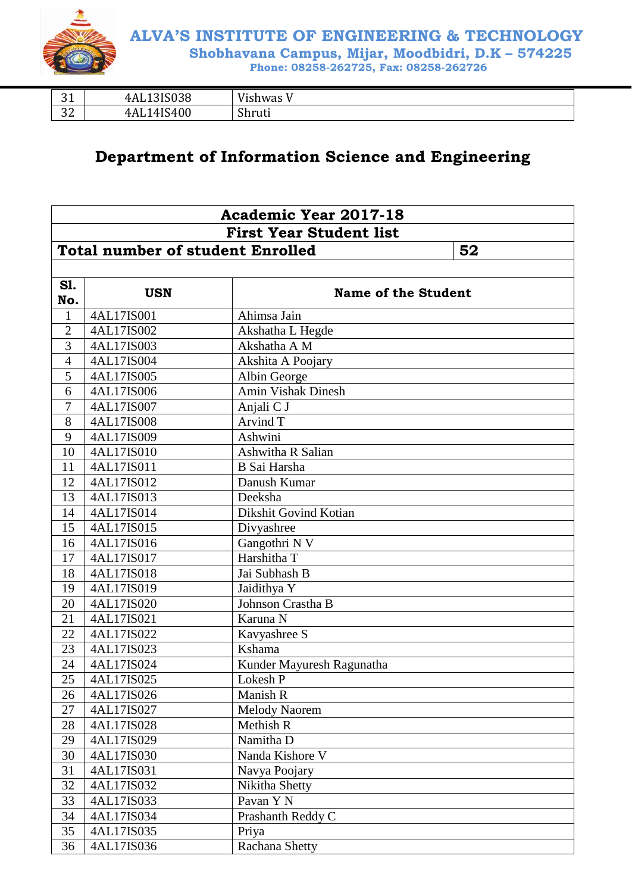

| $\mathbf{a}$ | 3IS038 | $T$ $T$ $T$ |
|--------------|--------|-------------|
| ັບ           | 4Al    | 'ishwas     |
| $\sim$       | 4IS400 | $\sim$      |
| ے ت          | -4A).  | Shruti      |

#### **Department of Information Science and Engineering**

| <b>Academic Year 2017-18</b>   |                                               |                            |  |  |
|--------------------------------|-----------------------------------------------|----------------------------|--|--|
| <b>First Year Student list</b> |                                               |                            |  |  |
|                                | <b>Total number of student Enrolled</b><br>52 |                            |  |  |
|                                |                                               |                            |  |  |
| S1.                            |                                               |                            |  |  |
| No.                            | <b>USN</b>                                    | <b>Name of the Student</b> |  |  |
| $\mathbf{1}$                   | 4AL17IS001                                    | Ahimsa Jain                |  |  |
| $\overline{2}$                 | 4AL17IS002                                    | Akshatha L Hegde           |  |  |
| 3                              | 4AL17IS003                                    | Akshatha A M               |  |  |
| $\overline{4}$                 | 4AL17IS004                                    | Akshita A Poojary          |  |  |
| 5                              | 4AL17IS005                                    | Albin George               |  |  |
| 6                              | 4AL17IS006                                    | <b>Amin Vishak Dinesh</b>  |  |  |
| $\overline{7}$                 | 4AL17IS007                                    | Anjali C J                 |  |  |
| 8                              | 4AL17IS008                                    | Arvind T                   |  |  |
| 9                              | 4AL17IS009                                    | Ashwini                    |  |  |
| 10                             | 4AL17IS010                                    | Ashwitha R Salian          |  |  |
| 11                             | 4AL17IS011                                    | B Sai Harsha               |  |  |
| 12                             | 4AL17IS012                                    | Danush Kumar               |  |  |
| 13                             | 4AL17IS013                                    | Deeksha                    |  |  |
| 14                             | 4AL17IS014                                    | Dikshit Govind Kotian      |  |  |
| 15                             | 4AL17IS015                                    | Divyashree                 |  |  |
| 16                             | 4AL17IS016                                    | Gangothri N V              |  |  |
| 17                             | 4AL17IS017                                    | Harshitha T                |  |  |
| 18                             | 4AL17IS018                                    | Jai Subhash B              |  |  |
| 19                             | 4AL17IS019                                    | Jaidithya Y                |  |  |
| 20                             | 4AL17IS020                                    | Johnson Crastha B          |  |  |
| 21                             | 4AL17IS021                                    | Karuna N                   |  |  |
| 22                             | 4AL17IS022                                    | Kavyashree S               |  |  |
| 23                             | 4AL17IS023                                    | Kshama                     |  |  |
| 24                             | 4AL17IS024                                    | Kunder Mayuresh Ragunatha  |  |  |
| 25                             | 4AL17IS025                                    | Lokesh P                   |  |  |
| 26                             | 4AL17IS026                                    | Manish R                   |  |  |
| 27                             | 4AL17IS027                                    | <b>Melody Naorem</b>       |  |  |
| 28                             | 4AL17IS028                                    | Methish R                  |  |  |
| 29                             | 4AL17IS029                                    | Namitha D                  |  |  |
| 30                             | 4AL17IS030                                    | Nanda Kishore V            |  |  |
| 31                             | 4AL17IS031                                    | Navya Poojary              |  |  |
| 32                             | 4AL17IS032                                    | Nikitha Shetty             |  |  |
| 33                             | 4AL17IS033                                    | Pavan Y N                  |  |  |
| 34                             | 4AL17IS034                                    | Prashanth Reddy C          |  |  |
| 35                             | 4AL17IS035                                    | Priya                      |  |  |
| 36                             | 4AL17IS036                                    | Rachana Shetty             |  |  |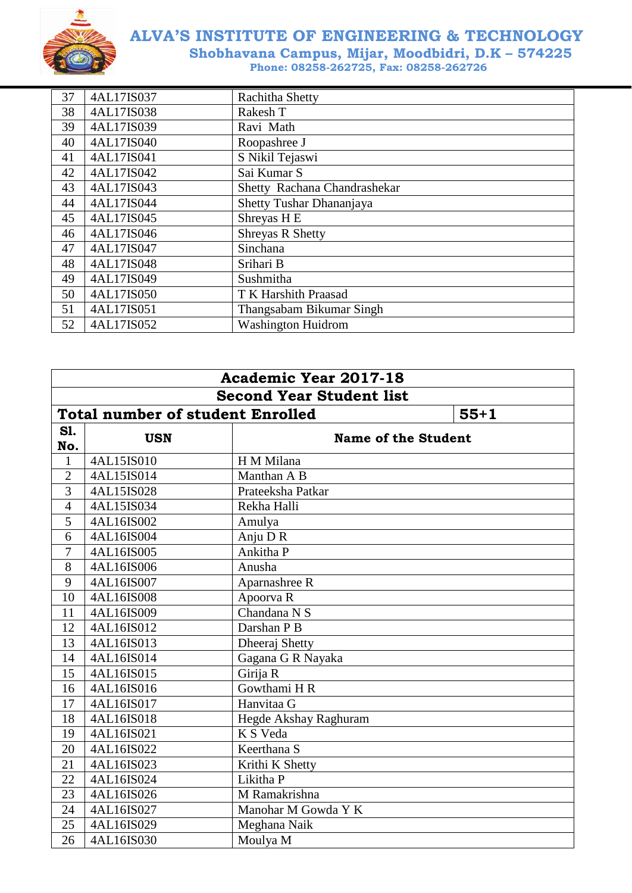

| 37 | 4AL17IS037 | Rachitha Shetty              |
|----|------------|------------------------------|
| 38 | 4AL17IS038 | Rakesh T                     |
| 39 | 4AL17IS039 | Ravi Math                    |
| 40 | 4AL17IS040 | Roopashree J                 |
| 41 | 4AL17IS041 | S Nikil Tejaswi              |
| 42 | 4AL17IS042 | Sai Kumar S                  |
| 43 | 4AL17IS043 | Shetty Rachana Chandrashekar |
| 44 | 4AL17IS044 | Shetty Tushar Dhananjaya     |
| 45 | 4AL17IS045 | Shreyas H <sub>E</sub>       |
| 46 | 4AL17IS046 | <b>Shreyas R Shetty</b>      |
| 47 | 4AL17IS047 | Sinchana                     |
| 48 | 4AL17IS048 | Srihari B                    |
| 49 | 4AL17IS049 | Sushmitha                    |
| 50 | 4AL17IS050 | T K Harshith Praasad         |
| 51 | 4AL17IS051 | Thangsabam Bikumar Singh     |
| 52 | 4AL17IS052 | <b>Washington Huidrom</b>    |

| <b>Academic Year 2017-18</b>    |                                                   |                            |  |  |
|---------------------------------|---------------------------------------------------|----------------------------|--|--|
| <b>Second Year Student list</b> |                                                   |                            |  |  |
|                                 | <b>Total number of student Enrolled</b><br>$55+1$ |                            |  |  |
| S1.<br>No.                      | <b>USN</b>                                        | <b>Name of the Student</b> |  |  |
| $\mathbf{1}$                    | 4AL15IS010                                        | H M Milana                 |  |  |
| $\overline{2}$                  | 4AL15IS014                                        | Manthan A B                |  |  |
| 3                               | 4AL15IS028                                        | Prateeksha Patkar          |  |  |
| $\overline{4}$                  | 4AL15IS034                                        | Rekha Halli                |  |  |
| 5                               | 4AL16IS002                                        | Amulya                     |  |  |
| 6                               | 4AL16IS004                                        | Anju DR                    |  |  |
| 7                               | 4AL16IS005                                        | Ankitha P                  |  |  |
| 8                               | 4AL16IS006                                        | Anusha                     |  |  |
| 9                               | 4AL16IS007                                        | Aparnashree R              |  |  |
| 10                              | 4AL16IS008                                        | Apoorva R                  |  |  |
| 11                              | 4AL16IS009                                        | Chandana N S               |  |  |
| 12                              | 4AL16IS012                                        | Darshan P B                |  |  |
| 13                              | 4AL16IS013                                        | Dheeraj Shetty             |  |  |
| 14                              | 4AL16IS014                                        | Gagana G R Nayaka          |  |  |
| 15                              | 4AL16IS015                                        | Girija R                   |  |  |
| 16                              | 4AL16IS016                                        | Gowthami H R               |  |  |
| 17                              | 4AL16IS017                                        | Hanvitaa G                 |  |  |
| 18                              | 4AL16IS018                                        | Hegde Akshay Raghuram      |  |  |
| 19                              | 4AL16IS021                                        | K S Veda                   |  |  |
| 20                              | 4AL16IS022                                        | Keerthana S                |  |  |
| 21                              | 4AL16IS023                                        | Krithi K Shetty            |  |  |
| 22                              | 4AL16IS024                                        | Likitha P                  |  |  |
| 23                              | 4AL16IS026                                        | M Ramakrishna              |  |  |
| 24                              | 4AL16IS027                                        | Manohar M Gowda Y K        |  |  |
| 25                              | 4AL16IS029                                        | Meghana Naik               |  |  |
| 26                              | 4AL16IS030                                        | Moulya M                   |  |  |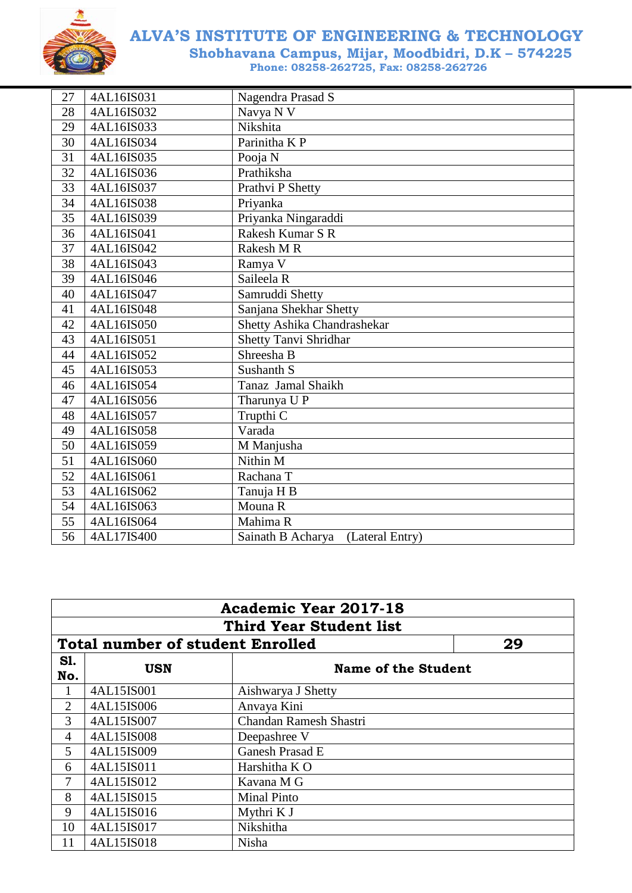

| 27              | 4AL16IS031 | Nagendra Prasad S                    |
|-----------------|------------|--------------------------------------|
| 28              | 4AL16IS032 | Navya N V                            |
| 29              | 4AL16IS033 | Nikshita                             |
| 30              | 4AL16IS034 | Parinitha K P                        |
| 31              | 4AL16IS035 | Pooja N                              |
| 32              | 4AL16IS036 | Prathiksha                           |
| 33              | 4AL16IS037 | Prathvi P Shetty                     |
| 34              | 4AL16IS038 | Priyanka                             |
| 35              | 4AL16IS039 | Priyanka Ningaraddi                  |
| 36              | 4AL16IS041 | Rakesh Kumar S R                     |
| 37              | 4AL16IS042 | Rakesh M R                           |
| 38              | 4AL16IS043 | Ramya V                              |
| 39              | 4AL16IS046 | Saileela R                           |
| 40              | 4AL16IS047 | Samruddi Shetty                      |
| 41              | 4AL16IS048 | Sanjana Shekhar Shetty               |
| 42              | 4AL16IS050 | Shetty Ashika Chandrashekar          |
| 43              | 4AL16IS051 | <b>Shetty Tanvi Shridhar</b>         |
| 44              | 4AL16IS052 | Shreesha B                           |
| 45              | 4AL16IS053 | Sushanth S                           |
| 46              | 4AL16IS054 | Tanaz Jamal Shaikh                   |
| 47              | 4AL16IS056 | Tharunya U P                         |
| 48              | 4AL16IS057 | Trupthi C                            |
| 49              | 4AL16IS058 | Varada                               |
| 50              | 4AL16IS059 | M Manjusha                           |
| 51              | 4AL16IS060 | Nithin M                             |
| 52              | 4AL16IS061 | Rachana T                            |
| 53              | 4AL16IS062 | Tanuja H B                           |
| 54              | 4AL16IS063 | Mouna R                              |
| 55              | 4AL16IS064 | Mahima R                             |
| $\overline{56}$ | 4AL17IS400 | Sainath B Acharya<br>(Lateral Entry) |

|                                               | <b>Academic Year 2017-18</b>   |                        |  |  |  |
|-----------------------------------------------|--------------------------------|------------------------|--|--|--|
|                                               | <b>Third Year Student list</b> |                        |  |  |  |
| <b>Total number of student Enrolled</b><br>29 |                                |                        |  |  |  |
| <b>S1.</b><br>No.                             | <b>USN</b>                     | Name of the Student    |  |  |  |
|                                               | 4AL15IS001                     | Aishwarya J Shetty     |  |  |  |
| $\overline{2}$                                | 4AL15IS006                     | Anvaya Kini            |  |  |  |
| 3                                             | 4AL15IS007                     | Chandan Ramesh Shastri |  |  |  |
| 4                                             | 4AL15IS008                     | Deepashree V           |  |  |  |
| 5                                             | 4AL15IS009                     | Ganesh Prasad E        |  |  |  |
| 6                                             | 4AL15IS011                     | Harshitha K O          |  |  |  |
| 7                                             | 4AL15IS012                     | Kavana M G             |  |  |  |
| 8                                             | 4AL15IS015                     | <b>Minal Pinto</b>     |  |  |  |
| 9                                             | 4AL15IS016                     | Mythri K J             |  |  |  |
| 10                                            | 4AL15IS017                     | Nikshitha              |  |  |  |
| 11                                            | 4AL15IS018                     | Nisha                  |  |  |  |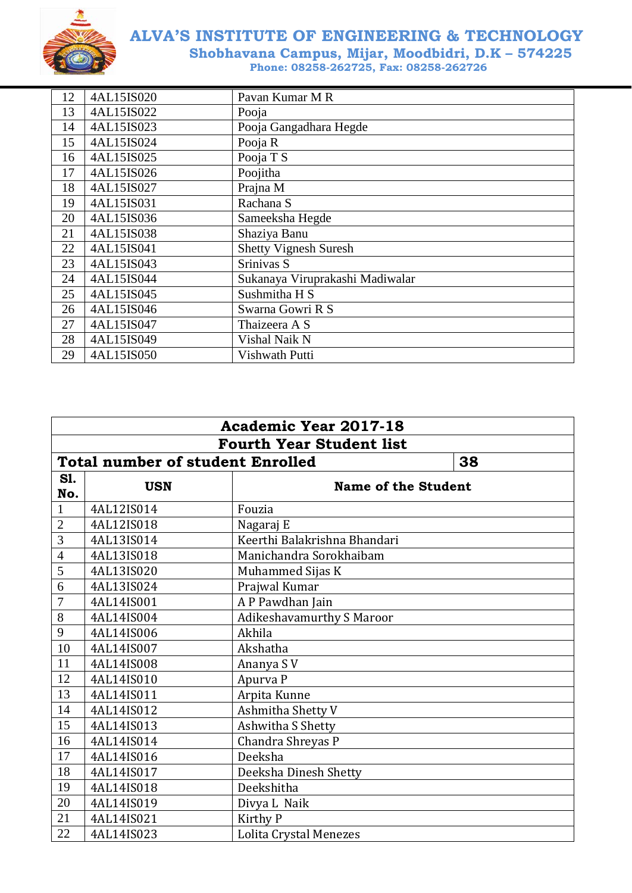

| 12 | 4AL15IS020 | Pavan Kumar M R                 |
|----|------------|---------------------------------|
| 13 | 4AL15IS022 | Pooja                           |
| 14 | 4AL15IS023 | Pooja Gangadhara Hegde          |
| 15 | 4AL15IS024 | Pooja R                         |
| 16 | 4AL15IS025 | Pooja T S                       |
| 17 | 4AL15IS026 | Poojitha                        |
| 18 | 4AL15IS027 | Prajna M                        |
| 19 | 4AL15IS031 | Rachana S                       |
| 20 | 4AL15IS036 | Sameeksha Hegde                 |
| 21 | 4AL15IS038 | Shaziya Banu                    |
| 22 | 4AL15IS041 | <b>Shetty Vignesh Suresh</b>    |
| 23 | 4AL15IS043 | Srinivas S                      |
| 24 | 4AL15IS044 | Sukanaya Viruprakashi Madiwalar |
| 25 | 4AL15IS045 | Sushmitha H S                   |
| 26 | 4AL15IS046 | Swarna Gowri R S                |
| 27 | 4AL15IS047 | Thaizeera A S                   |
| 28 | 4AL15IS049 | Vishal Naik N                   |
| 29 | 4AL15IS050 | Vishwath Putti                  |

| <b>Academic Year 2017-18</b>    |                                               |                                  |  |  |
|---------------------------------|-----------------------------------------------|----------------------------------|--|--|
| <b>Fourth Year Student list</b> |                                               |                                  |  |  |
|                                 | <b>Total number of student Enrolled</b><br>38 |                                  |  |  |
| S1.<br>No.                      | <b>USN</b><br><b>Name of the Student</b>      |                                  |  |  |
| $\mathbf{1}$                    | 4AL12IS014                                    | Fouzia                           |  |  |
| $\overline{2}$                  | 4AL12IS018                                    | Nagaraj E                        |  |  |
| 3                               | 4AL13IS014                                    | Keerthi Balakrishna Bhandari     |  |  |
| $\overline{4}$                  | 4AL13IS018                                    | Manichandra Sorokhaibam          |  |  |
| 5                               | 4AL13IS020                                    | Muhammed Sijas K                 |  |  |
| 6                               | 4AL13IS024                                    | Prajwal Kumar                    |  |  |
| $\overline{7}$                  | 4AL14IS001                                    | A P Pawdhan Jain                 |  |  |
| 8                               | 4AL14IS004                                    | <b>Adikeshavamurthy S Maroor</b> |  |  |
| 9                               | 4AL14IS006                                    | Akhila                           |  |  |
| 10                              | 4AL14IS007                                    | Akshatha                         |  |  |
| 11                              | 4AL14IS008                                    | Ananya SV                        |  |  |
| 12                              | 4AL14IS010                                    | Apurva P                         |  |  |
| 13                              | 4AL14IS011                                    | Arpita Kunne                     |  |  |
| 14                              | 4AL14IS012                                    | Ashmitha Shetty V                |  |  |
| 15                              | 4AL14IS013                                    | Ashwitha S Shetty                |  |  |
| 16                              | 4AL14IS014                                    | Chandra Shreyas P                |  |  |
| 17                              | 4AL14IS016                                    | Deeksha                          |  |  |
| 18                              | 4AL14IS017                                    | Deeksha Dinesh Shetty            |  |  |
| 19                              | 4AL14IS018                                    | Deekshitha                       |  |  |
| 20                              | 4AL14IS019                                    | Divya L Naik                     |  |  |
| 21                              | 4AL14IS021                                    | Kirthy P                         |  |  |
| 22                              | 4AL14IS023                                    | Lolita Crystal Menezes           |  |  |